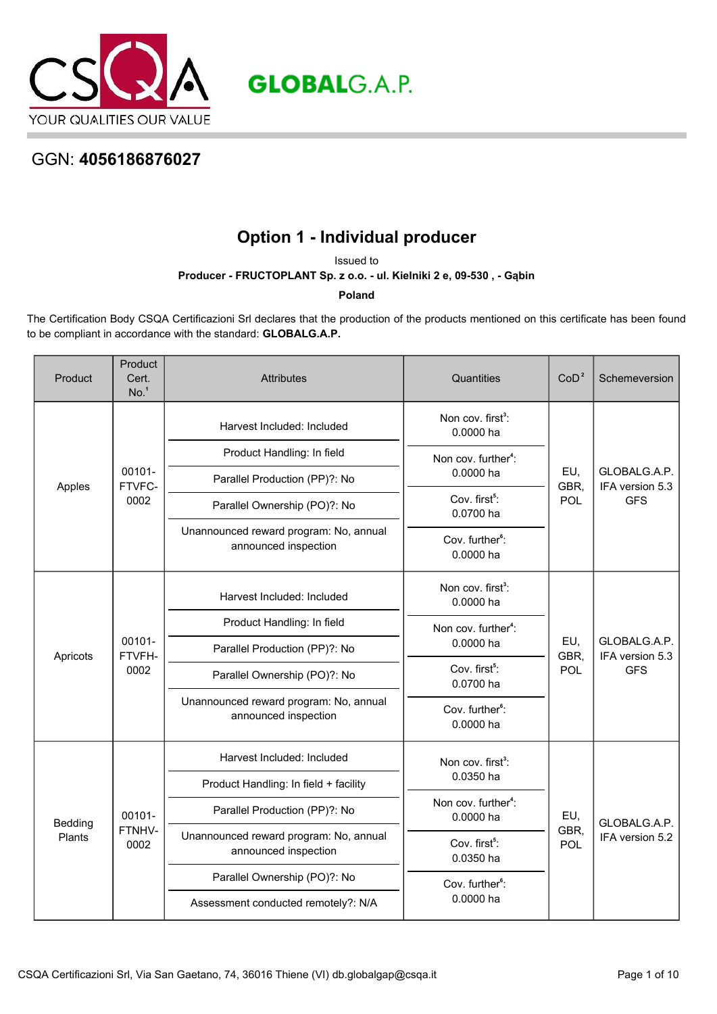

**GLOBALG.A.P.** 

## GGN: **4056186876027**

## **Option 1 - Individual producer**

Issued to

**Producer - FRUCTOPLANT Sp. z o.o. - ul. Kielniki 2 e, 09-530 , - Gąbin**

**Poland**

The Certification Body CSQA Certificazioni Srl declares that the production of the products mentioned on this certificate has been found to be compliant in accordance with the standard: **GLOBALG.A.P.**

| Product           | Product<br>Cert.<br>No. <sup>1</sup> | <b>Attributes</b>                                              | Quantities                                   | CoD <sup>2</sup>   | Schemeversion                                 |
|-------------------|--------------------------------------|----------------------------------------------------------------|----------------------------------------------|--------------------|-----------------------------------------------|
|                   |                                      | Harvest Included: Included                                     | Non cov. first <sup>3</sup> :<br>0.0000 ha   |                    |                                               |
|                   |                                      | Product Handling: In field                                     | Non cov. further <sup>4</sup> :              |                    |                                               |
| Apples            | 00101-<br>FTVFC-                     | Parallel Production (PP)?: No                                  | 0.0000 ha                                    | EU,<br>GBR,        | GLOBALG.A.P.<br>IFA version 5.3               |
|                   | 0002                                 | Parallel Ownership (PO)?: No                                   | Cov. first <sup>5</sup> :<br>0.0700 ha       | <b>POL</b>         | <b>GFS</b>                                    |
|                   |                                      | Unannounced reward program: No, annual<br>announced inspection | Cov. further <sup>6</sup> :<br>0.0000 ha     |                    |                                               |
|                   |                                      | Harvest Included: Included                                     | Non cov. first <sup>3</sup> :<br>0.0000 ha   |                    |                                               |
|                   |                                      | Product Handling: In field                                     | Non cov. further <sup>4</sup> :              |                    |                                               |
| Apricots          | 00101-<br>FTVFH-                     | Parallel Production (PP)?: No                                  | 0.0000 ha                                    | EU,<br>GBR.        | GLOBALG.A.P.<br>IFA version 5.3<br><b>GFS</b> |
|                   | 0002                                 | Parallel Ownership (PO)?: No                                   | Cov. first <sup>5</sup> :<br>0.0700 ha       | POL                |                                               |
|                   |                                      | Unannounced reward program: No, annual<br>announced inspection | Cov. further <sup>6</sup> :<br>0.0000 ha     |                    |                                               |
|                   |                                      | Harvest Included: Included                                     | Non cov. first <sup>3</sup> :                |                    |                                               |
|                   |                                      | Product Handling: In field + facility                          | 0.0350 ha                                    |                    |                                               |
| Bedding<br>Plants | 00101-                               | Parallel Production (PP)?: No                                  | Non cov. further <sup>4</sup> :<br>0.0000 ha | EU,<br>GBR,<br>POL | GLOBALG.A.P.                                  |
|                   | FTNHV-<br>0002                       | Unannounced reward program: No, annual<br>announced inspection | Cov. first <sup>5</sup> :<br>0.0350 ha       |                    | IFA version 5.2                               |
|                   |                                      | Parallel Ownership (PO)?: No                                   | Cov. further <sup>6</sup> :                  |                    |                                               |
|                   |                                      | Assessment conducted remotely?: N/A                            | 0.0000 ha                                    |                    |                                               |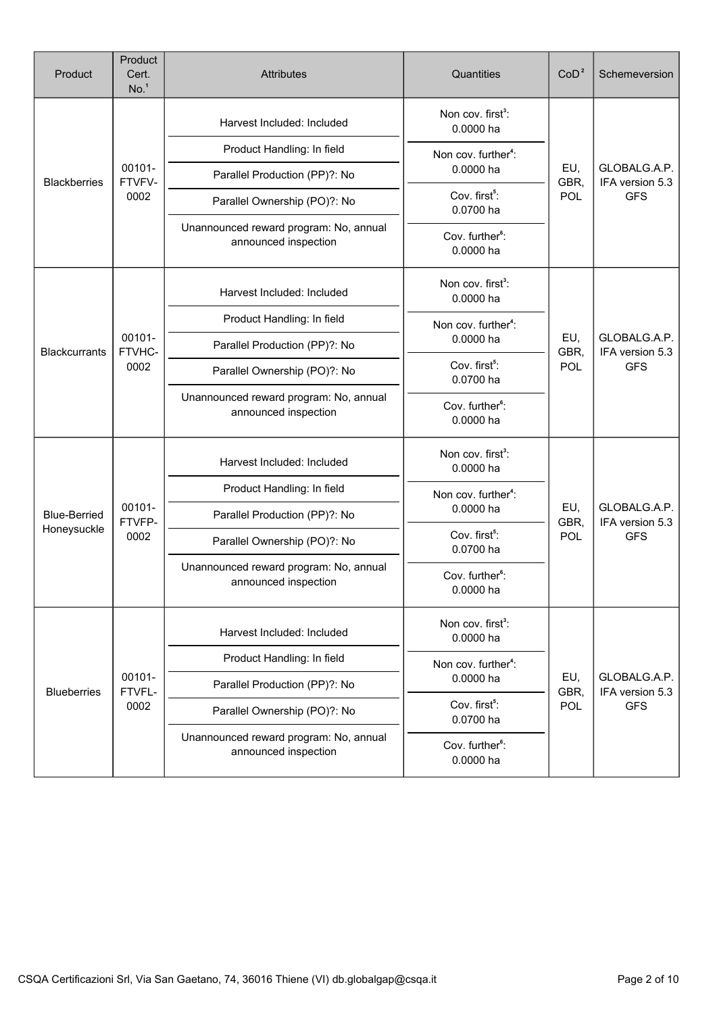| Product              | Product<br>Cert.<br>No. <sup>1</sup> | <b>Attributes</b>                                              | Quantities                                 | CoD <sup>2</sup>   | Schemeversion                                 |
|----------------------|--------------------------------------|----------------------------------------------------------------|--------------------------------------------|--------------------|-----------------------------------------------|
|                      |                                      | Harvest Included: Included                                     | Non cov. first <sup>3</sup> :<br>0.0000 ha |                    |                                               |
|                      |                                      | Product Handling: In field                                     | Non cov. further <sup>4</sup> :            |                    |                                               |
| <b>Blackberries</b>  | 00101-<br>FTVFV-                     | Parallel Production (PP)?: No                                  | 0.0000 ha                                  | EU,<br>GBR,        | GLOBALG.A.P.<br>IFA version 5.3               |
|                      | 0002                                 | Parallel Ownership (PO)?: No                                   | Cov. first <sup>5</sup> :<br>0.0700 ha     | POL                | <b>GFS</b>                                    |
|                      |                                      | Unannounced reward program: No, annual<br>announced inspection | Cov. further <sup>6</sup> :<br>0.0000 ha   |                    |                                               |
|                      |                                      | Harvest Included: Included                                     | Non cov. first <sup>3</sup> :<br>0.0000 ha |                    |                                               |
|                      |                                      | Product Handling: In field                                     | Non cov. further <sup>4</sup> :            |                    |                                               |
| <b>Blackcurrants</b> | 00101-<br>FTVHC-                     | Parallel Production (PP)?: No                                  | 0.0000 ha                                  | EU,<br>GBR,<br>POL | GLOBALG.A.P.<br>IFA version 5.3<br><b>GFS</b> |
|                      | 0002                                 | Parallel Ownership (PO)?: No                                   | Cov. first <sup>5</sup> :<br>0.0700 ha     |                    |                                               |
|                      |                                      | Unannounced reward program: No, annual<br>announced inspection | Cov. further <sup>6</sup> :<br>0.0000 ha   |                    |                                               |
|                      |                                      | Harvest Included: Included                                     | Non cov. first <sup>3</sup> :<br>0.0000 ha |                    |                                               |
|                      |                                      | Product Handling: In field                                     | Non cov. further <sup>4</sup> :            |                    |                                               |
| <b>Blue-Berried</b>  | 00101-<br>FTVFP-<br>0002             | Parallel Production (PP)?: No                                  | 0.0000 ha                                  | EU,<br>GBR,        | GLOBALG.A.P.<br>IFA version 5.3               |
| Honeysuckle          |                                      | Parallel Ownership (PO)?: No                                   | Cov. first <sup>5</sup> :<br>0.0700 ha     | POL                | <b>GFS</b>                                    |
|                      |                                      | Unannounced reward program: No, annual<br>announced inspection | Cov. further <sup>6</sup> :<br>0.0000 ha   |                    |                                               |
|                      |                                      | Harvest Included: Included                                     | Non cov. first <sup>3</sup> :<br>0.0000 ha |                    |                                               |
|                      |                                      | Product Handling: In field                                     | Non cov. further <sup>4</sup> :            |                    |                                               |
| <b>Blueberries</b>   | 00101-<br>FTVFL-                     | Parallel Production (PP)?: No                                  | 0.0000 ha                                  | EU,<br>GBR,        | GLOBALG.A.P.<br>IFA version 5.3               |
|                      | 0002                                 | Parallel Ownership (PO)?: No                                   | Cov. first <sup>5</sup> :<br>0.0700 ha     | POL                | <b>GFS</b>                                    |
|                      |                                      | Unannounced reward program: No, annual<br>announced inspection | Cov. further <sup>6</sup> :<br>0.0000 ha   |                    |                                               |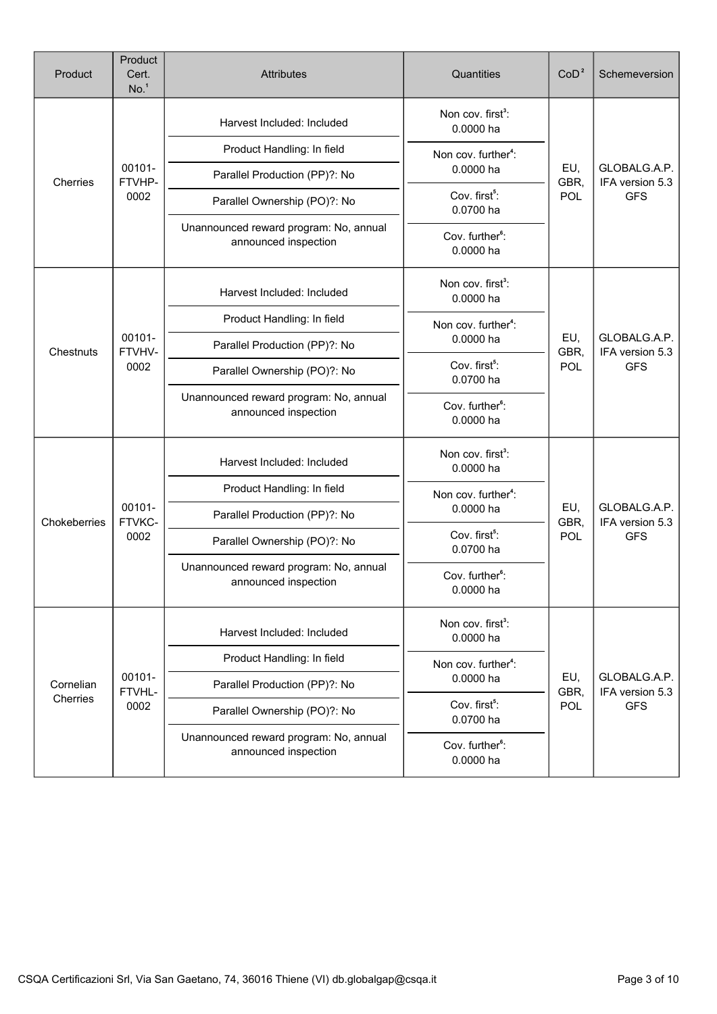| Product               | Product<br>Cert.<br>No. <sup>1</sup> | Attributes                                                     | Quantities                                 | CoD <sup>2</sup>   | Schemeversion                                 |
|-----------------------|--------------------------------------|----------------------------------------------------------------|--------------------------------------------|--------------------|-----------------------------------------------|
|                       |                                      | Harvest Included: Included                                     | Non cov. first <sup>3</sup> :<br>0.0000 ha |                    |                                               |
|                       |                                      | Product Handling: In field                                     | Non cov. further <sup>4</sup> :            |                    |                                               |
| Cherries              | 00101-<br>FTVHP-                     | Parallel Production (PP)?: No                                  | 0.0000 ha                                  | EU,<br>GBR,        | GLOBALG.A.P.<br>IFA version 5.3               |
|                       | 0002                                 | Parallel Ownership (PO)?: No                                   | Cov. first <sup>5</sup> :<br>0.0700 ha     | POL                | <b>GFS</b>                                    |
|                       |                                      | Unannounced reward program: No, annual<br>announced inspection | Cov. further <sup>6</sup> :<br>0.0000 ha   |                    |                                               |
|                       |                                      | Harvest Included: Included                                     | Non cov. first <sup>3</sup> :<br>0.0000 ha |                    |                                               |
|                       |                                      | Product Handling: In field                                     | Non cov. further <sup>4</sup> :            |                    | GLOBALG.A.P.<br>IFA version 5.3<br><b>GFS</b> |
| Chestnuts             | 00101-<br>FTVHV-                     | Parallel Production (PP)?: No                                  | 0.0000 ha                                  | EU,<br>GBR,<br>POL |                                               |
|                       | 0002                                 | Parallel Ownership (PO)?: No                                   | Cov. first <sup>5</sup> :<br>0.0700 ha     |                    |                                               |
|                       |                                      | Unannounced reward program: No, annual<br>announced inspection | Cov. further <sup>6</sup> :<br>0.0000 ha   |                    |                                               |
|                       |                                      | Harvest Included: Included                                     | Non cov. first <sup>3</sup> :<br>0.0000 ha | EU,<br>GBR,        | GLOBALG.A.P.<br>IFA version 5.3               |
|                       |                                      | Product Handling: In field                                     | Non cov. further <sup>4</sup> :            |                    |                                               |
| Chokeberries          | 00101-<br>FTVKC-                     | Parallel Production (PP)?: No                                  | 0.0000 ha                                  |                    |                                               |
|                       | 0002                                 | Parallel Ownership (PO)?: No                                   | Cov. first <sup>5</sup> :<br>0.0700 ha     | POL                | <b>GFS</b>                                    |
|                       |                                      | Unannounced reward program: No, annual<br>announced inspection | Cov. further <sup>6</sup> :<br>0.0000 ha   |                    |                                               |
|                       |                                      | Harvest Included: Included                                     | Non cov. first <sup>3</sup> :<br>0.0000 ha |                    |                                               |
|                       |                                      | Product Handling: In field                                     | Non cov. further <sup>4</sup> :            |                    |                                               |
| Cornelian<br>Cherries | 00101-<br>FTVHL-                     | Parallel Production (PP)?: No                                  | EU,<br>0.0000 ha                           | GBR,               | GLOBALG.A.P.<br>IFA version 5.3               |
|                       | 0002                                 | Parallel Ownership (PO)?: No                                   | Cov. first <sup>5</sup> :<br>0.0700 ha     | POL                | <b>GFS</b>                                    |
|                       |                                      | Unannounced reward program: No, annual<br>announced inspection | Cov. further <sup>6</sup> :<br>0.0000 ha   |                    |                                               |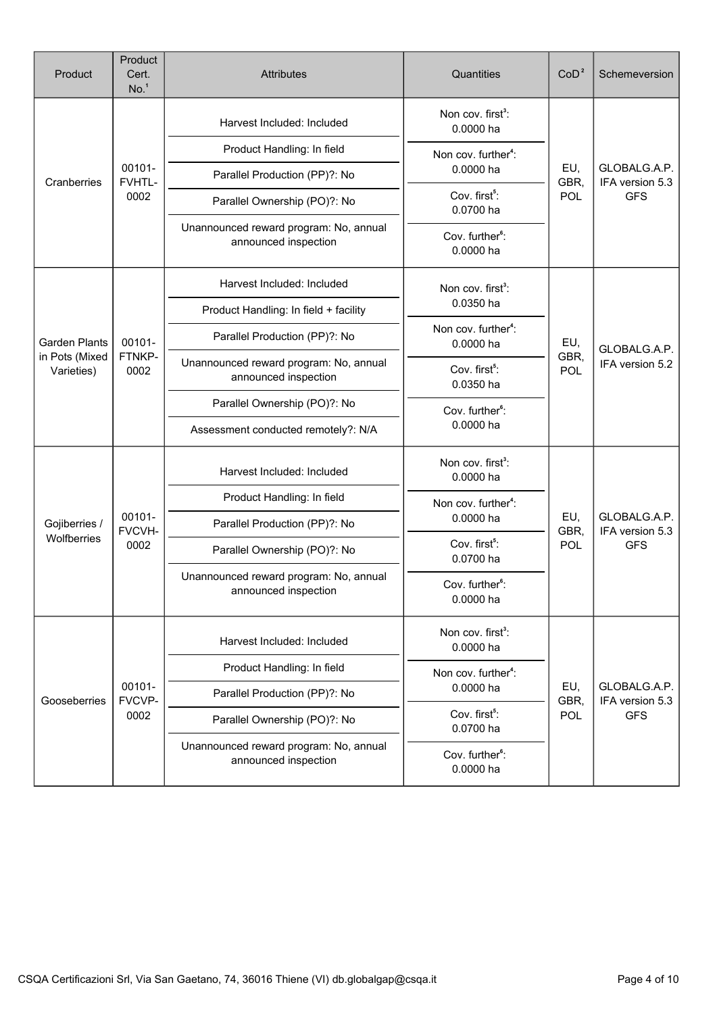| Product                      | Product<br>Cert.<br>No. <sup>1</sup> | <b>Attributes</b>                                              | Quantities                                   | CoD <sup>2</sup>                           | Schemeversion                                 |  |
|------------------------------|--------------------------------------|----------------------------------------------------------------|----------------------------------------------|--------------------------------------------|-----------------------------------------------|--|
|                              |                                      | Harvest Included: Included                                     | Non cov. first <sup>3</sup> :<br>0.0000 ha   |                                            |                                               |  |
|                              |                                      | Product Handling: In field                                     | Non cov. further <sup>4</sup> :              |                                            |                                               |  |
| Cranberries                  | 00101-<br>FVHTL-                     | Parallel Production (PP)?: No                                  | 0.0000 ha                                    | EU,<br>GBR,                                | GLOBALG.A.P.<br>IFA version 5.3               |  |
|                              | 0002                                 | Parallel Ownership (PO)?: No                                   | Cov. first <sup>5</sup> :<br>0.0700 ha       | POL                                        | <b>GFS</b>                                    |  |
|                              |                                      | Unannounced reward program: No, annual<br>announced inspection | Cov. further <sup>6</sup> :<br>0.0000 ha     |                                            |                                               |  |
|                              |                                      | Harvest Included: Included                                     | Non cov. first <sup>3</sup> :                |                                            | GLOBALG.A.P.<br>IFA version 5.2               |  |
|                              |                                      | Product Handling: In field + facility                          | 0.0350 ha                                    |                                            |                                               |  |
| <b>Garden Plants</b>         | 00101-                               | Parallel Production (PP)?: No                                  | Non cov. further <sup>4</sup> :<br>0.0000 ha | EU,                                        |                                               |  |
| in Pots (Mixed<br>Varieties) | FTNKP-<br>0002                       | Unannounced reward program: No, annual<br>announced inspection | Cov. first <sup>5</sup> :<br>0.0350 ha       | GBR,<br>POL                                |                                               |  |
|                              |                                      | Parallel Ownership (PO)?: No<br>Cov. further <sup>6</sup> :    |                                              |                                            |                                               |  |
|                              |                                      | Assessment conducted remotely?: N/A                            | 0.0000 ha                                    |                                            |                                               |  |
|                              |                                      |                                                                | Harvest Included: Included                   | Non cov. first <sup>3</sup> :<br>0.0000 ha |                                               |  |
|                              |                                      | Product Handling: In field                                     | Non cov. further <sup>4</sup> :              |                                            | GLOBALG.A.P.<br>IFA version 5.3<br><b>GFS</b> |  |
| Gojiberries /<br>Wolfberries | 00101-<br>FVCVH-                     | Parallel Production (PP)?: No                                  | 0.0000 ha                                    | EU,<br>GBR,<br>POL                         |                                               |  |
|                              | 0002                                 | Parallel Ownership (PO)?: No                                   | Cov. first <sup>5</sup> :<br>0.0700 ha       |                                            |                                               |  |
|                              |                                      | Unannounced reward program: No, annual<br>announced inspection | Cov. further <sup>6</sup> :<br>0.0000 ha     |                                            |                                               |  |
|                              |                                      | Harvest Included: Included                                     | Non cov. first <sup>3</sup> :<br>0.0000 ha   |                                            |                                               |  |
|                              |                                      | Product Handling: In field                                     | Non cov. further <sup>4</sup> :              |                                            |                                               |  |
| Gooseberries                 | 00101-<br>FVCVP-                     | Parallel Production (PP)?: No                                  | 0.0000 ha                                    | EU,<br>GBR,                                | GLOBALG.A.P.<br>IFA version 5.3               |  |
|                              | 0002                                 | Parallel Ownership (PO)?: No                                   | Cov. first <sup>5</sup> :<br>0.0700 ha       | <b>POL</b>                                 | <b>GFS</b>                                    |  |
|                              |                                      | Unannounced reward program: No, annual<br>announced inspection | Cov. further <sup>6</sup> :<br>0.0000 ha     |                                            |                                               |  |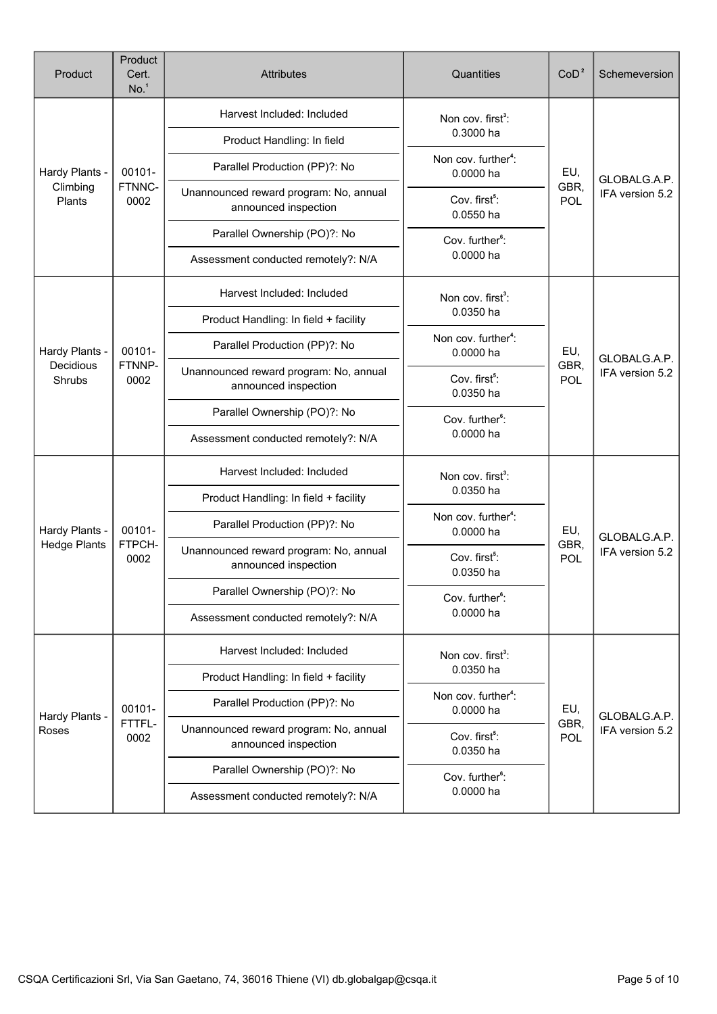| Product             | Product<br>Cert.<br>No. <sup>1</sup> | <b>Attributes</b>                                              | Quantities                                   | CoD <sup>2</sup>          | Schemeversion                   |
|---------------------|--------------------------------------|----------------------------------------------------------------|----------------------------------------------|---------------------------|---------------------------------|
|                     |                                      | Harvest Included: Included                                     | Non cov. first <sup>3</sup> :                |                           | GLOBALG.A.P.                    |
| Hardy Plants -      |                                      | Product Handling: In field                                     | 0.3000 ha                                    |                           |                                 |
|                     | 00101-                               | Parallel Production (PP)?: No                                  | Non cov. further <sup>4</sup> :<br>0.0000 ha | EU,                       |                                 |
| Climbing<br>Plants  | FTNNC-<br>0002                       | Unannounced reward program: No, annual<br>announced inspection | Cov. first <sup>5</sup> :<br>0.0550 ha       | GBR,<br>POL               | IFA version 5.2                 |
|                     |                                      | Parallel Ownership (PO)?: No                                   | Cov. further <sup>6</sup> :                  |                           |                                 |
|                     |                                      | Assessment conducted remotely?: N/A                            | 0.0000 ha                                    |                           |                                 |
|                     |                                      | Harvest Included: Included                                     | Non cov. first <sup>3</sup> :                |                           |                                 |
|                     |                                      | Product Handling: In field + facility                          | 0.0350 ha                                    |                           |                                 |
| Hardy Plants -      | 00101-                               | Parallel Production (PP)?: No                                  | Non cov. further <sup>4</sup> :<br>0.0000 ha | EU,                       | GLOBALG.A.P.<br>IFA version 5.2 |
| Decidious<br>Shrubs | FTNNP-<br>0002                       | Unannounced reward program: No, annual<br>announced inspection | Cov. first <sup>5</sup> :<br>0.0350 ha       | GBR,<br>POL               |                                 |
|                     |                                      | Parallel Ownership (PO)?: No<br>Cov. further <sup>6</sup> :    |                                              |                           |                                 |
|                     |                                      | Assessment conducted remotely?: N/A                            | 0.0000 ha                                    |                           |                                 |
|                     |                                      | Harvest Included: Included                                     | Non cov. first <sup>3</sup> :                |                           |                                 |
|                     |                                      | Product Handling: In field + facility                          | 0.0350 ha                                    |                           |                                 |
| Hardy Plants -      | 00101-                               | Parallel Production (PP)?: No                                  | Non cov. further <sup>4</sup> :<br>0.0000 ha | EU,<br>GBR,<br>POL        | GLOBALG.A.P.<br>IFA version 5.2 |
| <b>Hedge Plants</b> | FTPCH-<br>0002                       | Unannounced reward program: No, annual<br>announced inspection | Cov. first <sup>5</sup> :<br>0.0350 ha       |                           |                                 |
|                     |                                      | Parallel Ownership (PO)?: No                                   | Cov. further <sup>6</sup> :                  |                           |                                 |
|                     |                                      | Assessment conducted remotely?: N/A                            | 0.0000 ha                                    |                           |                                 |
|                     |                                      | Harvest Included: Included                                     | Non cov. first <sup>3</sup> :                |                           |                                 |
|                     |                                      | Product Handling: In field + facility                          | 0.0350 ha                                    | EU,<br>GBR,<br><b>POL</b> |                                 |
| Hardy Plants -      | 00101-                               | Parallel Production (PP)?: No                                  | Non cov. further <sup>4</sup> :<br>0.0000 ha |                           | GLOBALG.A.P.                    |
| Roses               | FTTFL-<br>0002                       | Unannounced reward program: No, annual<br>announced inspection | Cov. first <sup>5</sup> :<br>0.0350 ha       |                           | IFA version 5.2                 |
|                     |                                      | Parallel Ownership (PO)?: No                                   | Cov. further <sup>6</sup> :                  |                           |                                 |
|                     |                                      | Assessment conducted remotely?: N/A                            | 0.0000 ha                                    |                           |                                 |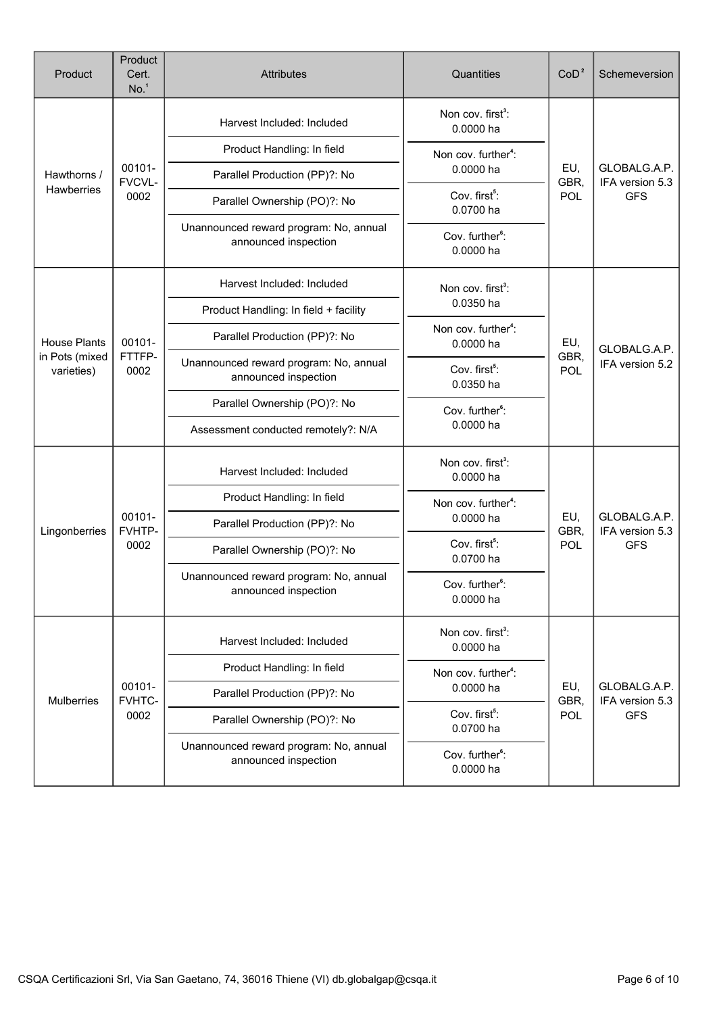| Product                      | Product<br>Cert.<br>No. <sup>1</sup> | <b>Attributes</b>                                              | Quantities                                   | CoD <sup>2</sup>   | Schemeversion                                 |
|------------------------------|--------------------------------------|----------------------------------------------------------------|----------------------------------------------|--------------------|-----------------------------------------------|
|                              |                                      | Harvest Included: Included                                     | Non cov. first <sup>3</sup> :<br>0.0000 ha   |                    |                                               |
|                              |                                      | Product Handling: In field                                     | Non cov. further <sup>4</sup> :              |                    |                                               |
| Hawthorns /                  | 00101-<br>FVCVL-                     | Parallel Production (PP)?: No                                  | 0.0000 ha                                    | EU,<br>GBR,        | GLOBALG.A.P.<br>IFA version 5.3               |
| Hawberries                   | 0002                                 | Parallel Ownership (PO)?: No                                   | Cov. first <sup>5</sup> :<br>0.0700 ha       | POL                | <b>GFS</b>                                    |
|                              |                                      | Unannounced reward program: No, annual<br>announced inspection | Cov. further <sup>6</sup> :<br>0.0000 ha     |                    |                                               |
|                              |                                      | Harvest Included: Included                                     | Non cov. first <sup>3</sup> :                |                    |                                               |
|                              |                                      | Product Handling: In field + facility                          | 0.0350 ha                                    |                    | GLOBALG.A.P.<br>IFA version 5.2               |
| <b>House Plants</b>          | 00101-                               | Parallel Production (PP)?: No                                  | Non cov. further <sup>4</sup> :<br>0.0000 ha | EU,                |                                               |
| in Pots (mixed<br>varieties) | FTTFP-<br>0002                       | Unannounced reward program: No, annual<br>announced inspection | Cov. first <sup>5</sup> :<br>0.0350 ha       | GBR,<br>POL        |                                               |
|                              |                                      | Parallel Ownership (PO)?: No                                   | Cov. further <sup>6</sup> :                  |                    |                                               |
|                              |                                      | Assessment conducted remotely?: N/A                            | 0.0000 ha                                    |                    |                                               |
|                              |                                      | Harvest Included: Included                                     | Non cov. first <sup>3</sup> :<br>0.0000 ha   |                    | GLOBALG.A.P.<br>IFA version 5.3<br><b>GFS</b> |
|                              |                                      | Product Handling: In field                                     | Non cov. further <sup>4</sup> :              |                    |                                               |
| Lingonberries                | 00101-<br>FVHTP-                     | Parallel Production (PP)?: No                                  | 0.0000 ha                                    | EU,<br>GBR,<br>POL |                                               |
|                              | 0002                                 | Parallel Ownership (PO)?: No                                   | Cov. first <sup>5</sup> :<br>0.0700 ha       |                    |                                               |
|                              |                                      | Unannounced reward program: No, annual<br>announced inspection | Cov. further <sup>6</sup> :<br>0.0000 ha     |                    |                                               |
|                              |                                      | Harvest Included: Included                                     | Non cov. first <sup>3</sup> :<br>0.0000 ha   |                    |                                               |
|                              |                                      | Product Handling: In field                                     | Non cov. further <sup>4</sup> :              |                    |                                               |
| Mulberries                   | 00101-<br>FVHTC-                     | Parallel Production (PP)?: No                                  | 0.0000 ha                                    | EU,<br>GBR,        | GLOBALG.A.P.<br>IFA version 5.3               |
|                              | 0002                                 | Parallel Ownership (PO)?: No                                   | Cov. first <sup>5</sup> :<br>0.0700 ha       | <b>POL</b>         | <b>GFS</b>                                    |
|                              |                                      | Unannounced reward program: No, annual<br>announced inspection | Cov. further <sup>6</sup> :<br>0.0000 ha     |                    |                                               |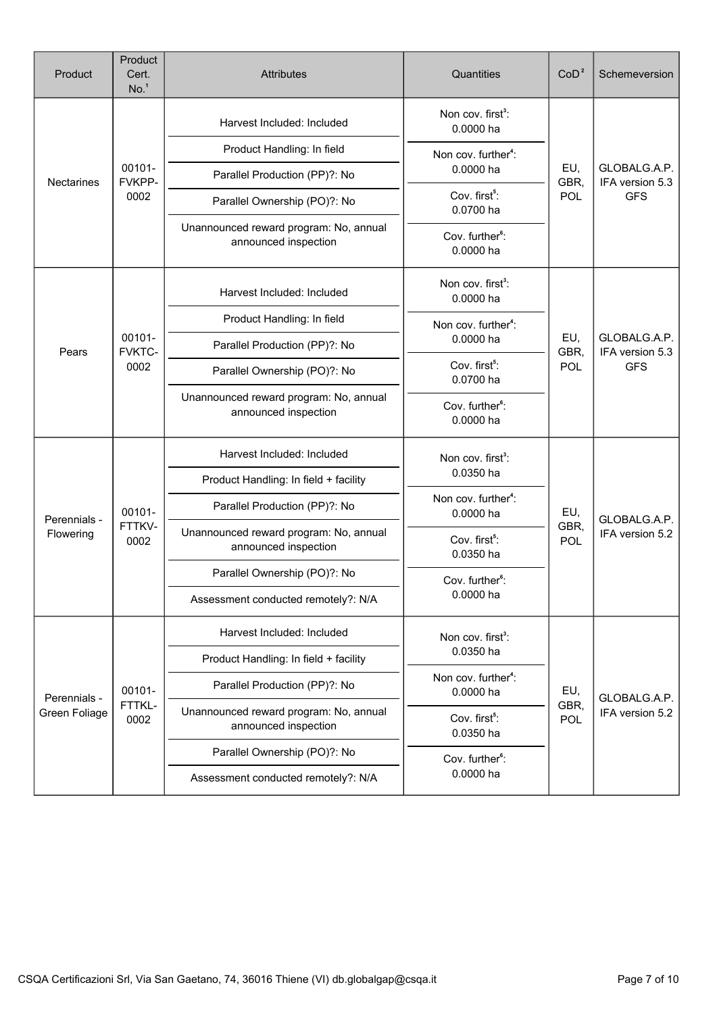| Product       | Product<br>Cert.<br>No. <sup>1</sup> | <b>Attributes</b>                                              | Quantities                                   | CoD <sup>2</sup>   | Schemeversion                                 |
|---------------|--------------------------------------|----------------------------------------------------------------|----------------------------------------------|--------------------|-----------------------------------------------|
|               |                                      | Harvest Included: Included                                     | Non cov. first <sup>3</sup> :<br>0.0000 ha   |                    |                                               |
|               |                                      | Product Handling: In field                                     | Non cov. further <sup>4</sup> :              |                    |                                               |
| Nectarines    | 00101-<br>FVKPP-                     | Parallel Production (PP)?: No                                  | 0.0000 ha                                    | EU,<br>GBR,        | GLOBALG.A.P.<br>IFA version 5.3               |
|               | 0002                                 | Parallel Ownership (PO)?: No                                   | Cov. first <sup>5</sup> :<br>0.0700 ha       | <b>POL</b>         | <b>GFS</b>                                    |
|               |                                      | Unannounced reward program: No, annual<br>announced inspection | Cov. further <sup>6</sup> :<br>0.0000 ha     |                    |                                               |
|               |                                      | Harvest Included: Included                                     | Non cov. first <sup>3</sup> :<br>0.0000 ha   |                    |                                               |
|               |                                      | Product Handling: In field                                     | Non cov. further <sup>4</sup> :              |                    | GLOBALG.A.P.<br>IFA version 5.3<br><b>GFS</b> |
| Pears         | 00101-<br>FVKTC-                     | Parallel Production (PP)?: No                                  | 0.0000 ha                                    | EU,<br>GBR,        |                                               |
|               | 0002                                 | Parallel Ownership (PO)?: No                                   | Cov. first <sup>5</sup> :<br>0.0700 ha       | POL                |                                               |
|               |                                      | Unannounced reward program: No, annual<br>announced inspection | Cov. further <sup>6</sup> :<br>0.0000 ha     |                    |                                               |
|               |                                      | Harvest Included: Included                                     | Non cov. first <sup>3</sup> :                |                    |                                               |
|               |                                      | Product Handling: In field + facility                          | 0.0350 ha                                    |                    | GLOBALG.A.P.<br>IFA version 5.2               |
| Perennials -  | 00101-<br>FTTKV-<br>0002             | Parallel Production (PP)?: No                                  | Non cov. further <sup>4</sup> :<br>0.0000 ha | EU,<br>GBR,<br>POL |                                               |
| Flowering     |                                      | Unannounced reward program: No, annual<br>announced inspection | Cov. first <sup>5</sup> :<br>0.0350 ha       |                    |                                               |
|               |                                      | Parallel Ownership (PO)?: No                                   | Cov. further <sup>6</sup> :                  |                    |                                               |
|               |                                      | Assessment conducted remotely?: N/A                            | $0.0000$ ha                                  |                    |                                               |
|               |                                      | Harvest Included: Included                                     | Non cov. first <sup>3</sup> :                |                    |                                               |
|               |                                      | Product Handling: In field + facility                          | 0.0350 ha                                    |                    |                                               |
| Perennials -  | 00101-                               | Parallel Production (PP)?: No                                  | Non cov. further <sup>4</sup> :<br>0.0000 ha | EU,                | GLOBALG.A.P.                                  |
| Green Foliage | FTTKL-<br>0002                       | Unannounced reward program: No, annual<br>announced inspection | Cov. first <sup>5</sup> :<br>0.0350 ha       | GBR,<br>POL        | IFA version 5.2                               |
|               |                                      | Parallel Ownership (PO)?: No                                   | Cov. further <sup>6</sup> :                  |                    |                                               |
|               |                                      | Assessment conducted remotely?: N/A                            | 0.0000 ha                                    |                    |                                               |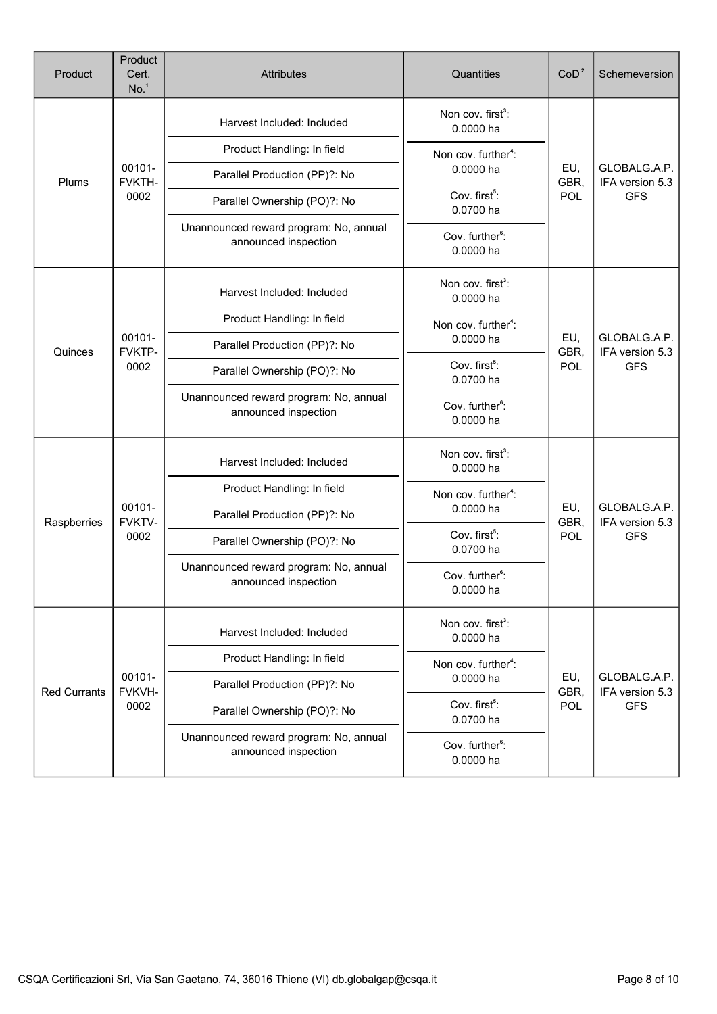| Product             | Product<br>Cert.<br>No. <sup>1</sup> | Attributes                                                     | Quantities                                 | CoD <sup>2</sup> | Schemeversion                                 |
|---------------------|--------------------------------------|----------------------------------------------------------------|--------------------------------------------|------------------|-----------------------------------------------|
|                     |                                      | Harvest Included: Included                                     | Non cov. first <sup>3</sup> :<br>0.0000 ha |                  |                                               |
|                     |                                      | Product Handling: In field                                     | Non cov. further <sup>4</sup> :            |                  |                                               |
| Plums               | 00101-<br>FVKTH-                     | Parallel Production (PP)?: No                                  | 0.0000 ha                                  | EU,<br>GBR,      | GLOBALG.A.P.<br>IFA version 5.3               |
|                     | 0002                                 | Parallel Ownership (PO)?: No                                   | Cov. first <sup>5</sup> :<br>0.0700 ha     | POL              | <b>GFS</b>                                    |
|                     |                                      | Unannounced reward program: No, annual<br>announced inspection | Cov. further <sup>6</sup> :<br>0.0000 ha   |                  |                                               |
|                     |                                      | Harvest Included: Included                                     | Non cov. first <sup>3</sup> :<br>0.0000 ha |                  |                                               |
|                     |                                      | Product Handling: In field                                     | Non cov. further <sup>4</sup> :            |                  |                                               |
| Quinces             | 00101-<br>FVKTP-                     | Parallel Production (PP)?: No                                  | 0.0000 ha                                  | EU,<br>GBR,      | GLOBALG.A.P.<br>IFA version 5.3<br><b>GFS</b> |
|                     | 0002                                 | Parallel Ownership (PO)?: No                                   | Cov. first <sup>5</sup> :<br>0.0700 ha     | POL              |                                               |
|                     |                                      | Unannounced reward program: No, annual<br>announced inspection | Cov. further <sup>6</sup> :<br>0.0000 ha   |                  |                                               |
|                     |                                      | Harvest Included: Included                                     | Non cov. first <sup>3</sup> :<br>0.0000 ha | EU,<br>GBR,      | GLOBALG.A.P.<br>IFA version 5.3<br><b>GFS</b> |
|                     |                                      | Product Handling: In field                                     | Non cov. further <sup>4</sup> :            |                  |                                               |
| Raspberries         | 00101-<br>FVKTV-                     | Parallel Production (PP)?: No                                  | 0.0000 ha                                  |                  |                                               |
|                     | 0002                                 | Parallel Ownership (PO)?: No                                   | Cov. first <sup>5</sup> :<br>0.0700 ha     | POL              |                                               |
|                     |                                      | Unannounced reward program: No, annual<br>announced inspection | Cov. further <sup>6</sup> :<br>0.0000 ha   |                  |                                               |
|                     |                                      | Harvest Included: Included                                     | Non cov. first <sup>3</sup> :<br>0.0000 ha |                  |                                               |
|                     |                                      | Product Handling: In field                                     | Non cov. further <sup>4</sup> :            |                  |                                               |
| <b>Red Currants</b> | 00101-<br>FVKVH-                     | Parallel Production (PP)?: No                                  | EU,<br>0.0000 ha                           | GBR,             | GLOBALG.A.P.<br>IFA version 5.3               |
|                     | 0002                                 | Parallel Ownership (PO)?: No                                   | Cov. first <sup>5</sup> :<br>0.0700 ha     | POL              | <b>GFS</b>                                    |
|                     |                                      | Unannounced reward program: No, annual<br>announced inspection | Cov. further <sup>6</sup> :<br>0.0000 ha   |                  |                                               |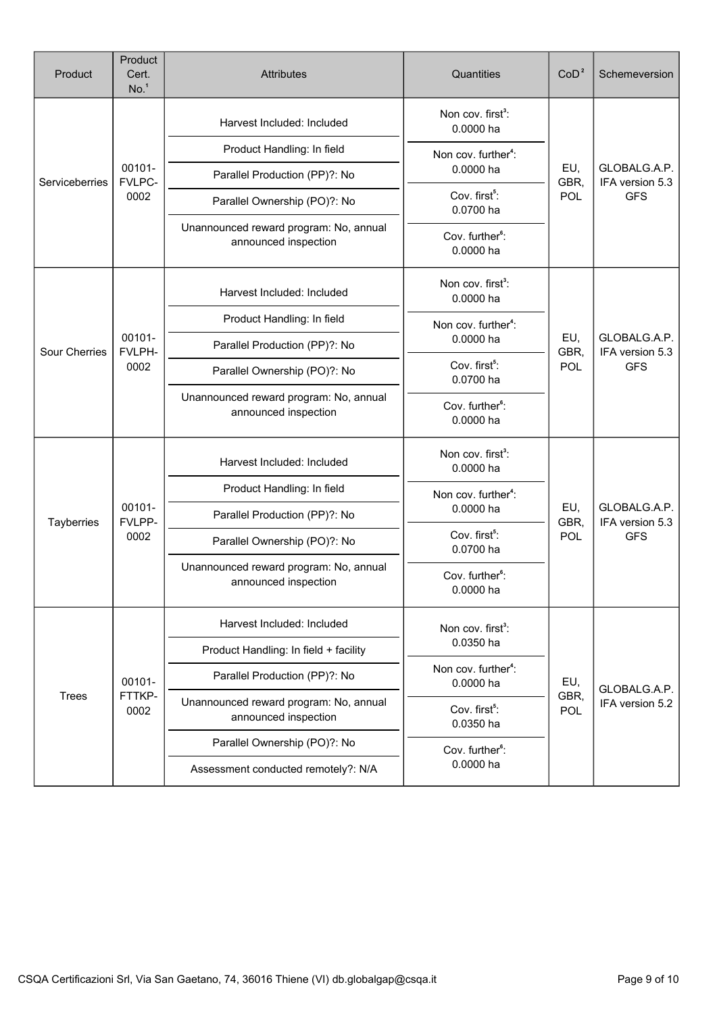| Product              | Product<br>Cert.<br>No. <sup>1</sup> | <b>Attributes</b>                                              | Quantities                                   | CoD <sup>2</sup>          | Schemeversion                                 |
|----------------------|--------------------------------------|----------------------------------------------------------------|----------------------------------------------|---------------------------|-----------------------------------------------|
|                      |                                      | Harvest Included: Included                                     | Non cov. first <sup>3</sup> :<br>0.0000 ha   |                           |                                               |
|                      |                                      | Product Handling: In field                                     | Non cov. further <sup>4</sup> :              |                           |                                               |
| Serviceberries       | 00101-<br>FVLPC-                     | Parallel Production (PP)?: No                                  | 0.0000 ha                                    | EU,<br>GBR,               | GLOBALG.A.P.<br>IFA version 5.3               |
|                      | 0002                                 | Parallel Ownership (PO)?: No                                   | Cov. first <sup>5</sup> :<br>0.0700 ha       | POL                       | <b>GFS</b>                                    |
|                      |                                      | Unannounced reward program: No, annual<br>announced inspection | Cov. further <sup>6</sup> :<br>0.0000 ha     |                           |                                               |
|                      |                                      | Harvest Included: Included                                     | Non cov. first <sup>3</sup> :<br>0.0000 ha   |                           |                                               |
|                      |                                      | Product Handling: In field                                     | Non cov. further <sup>4</sup> :              |                           |                                               |
| <b>Sour Cherries</b> | 00101-<br>FVLPH-                     | Parallel Production (PP)?: No                                  | 0.0000 ha                                    | EU,<br>GBR,               | GLOBALG.A.P.<br>IFA version 5.3               |
|                      | 0002                                 | Parallel Ownership (PO)?: No                                   | Cov. first <sup>5</sup> :<br>0.0700 ha       | POL                       | <b>GFS</b>                                    |
|                      |                                      | Unannounced reward program: No, annual<br>announced inspection | Cov. further <sup>6</sup> :<br>0.0000 ha     |                           |                                               |
|                      |                                      | Harvest Included: Included                                     | Non cov. first <sup>3</sup> :<br>0.0000 ha   |                           |                                               |
|                      |                                      | Product Handling: In field                                     | Non cov. further <sup>4</sup> :              |                           |                                               |
| Tayberries           | 00101-<br>FVLPP-                     | Parallel Production (PP)?: No                                  | 0.0000 ha                                    | EU,<br>GBR,<br>POL        | GLOBALG.A.P.<br>IFA version 5.3<br><b>GFS</b> |
|                      | 0002                                 | Parallel Ownership (PO)?: No                                   | Cov. first <sup>5</sup> :<br>0.0700 ha       |                           |                                               |
|                      |                                      | Unannounced reward program: No, annual<br>announced inspection | Cov. further <sup>6</sup> :<br>0.0000 ha     |                           |                                               |
|                      |                                      | Harvest Included: Included                                     | Non cov. first <sup>3</sup> :                |                           |                                               |
|                      |                                      | Product Handling: In field + facility                          | 0.0350 ha                                    |                           |                                               |
|                      | 00101-                               | Parallel Production (PP)?: No                                  | Non cov. further <sup>4</sup> :<br>0.0000 ha | EU,<br>GBR,<br><b>POL</b> | GLOBALG.A.P.                                  |
| <b>Trees</b>         | FTTKP-<br>0002                       | Unannounced reward program: No, annual<br>announced inspection | Cov. first <sup>5</sup> :<br>0.0350 ha       |                           | IFA version 5.2                               |
|                      |                                      | Parallel Ownership (PO)?: No                                   | Cov. further <sup>6</sup> :                  |                           |                                               |
|                      |                                      | Assessment conducted remotely?: N/A                            | 0.0000 ha                                    |                           |                                               |